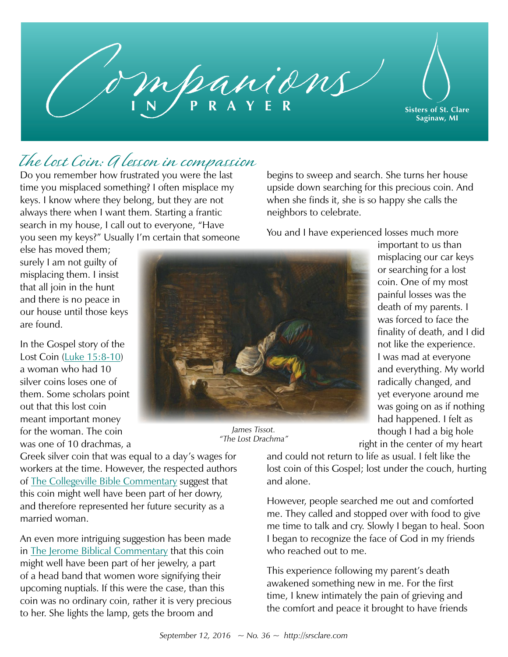

## The Lost Coin: A lesson in compassion

Do you remember how frustrated you were the last time you misplaced something? I often misplace my keys. I know where they belong, but they are not always there when I want them. Starting a frantic search in my house, I call out to everyone, "Have you seen my keys?" Usually I'm certain that someone

else has moved them; surely I am not guilty of misplacing them. I insist that all join in the hunt and there is no peace in our house until those keys are found.

In the Gospel story of the Lost Coin ([Luke 15:8-10](https://www.biblegateway.com/passage/?search=Luke+15%3A8-10&version=NABRE)) a woman who had 10 silver coins loses one of them. Some scholars point out that this lost coin meant important money for the woman. The coin was one of 10 drachmas, a



*James Tissot. "The Lost Drachma"* 

Greek silver coin that was equal to a day's wages for workers at the time. However, the respected authors of [The Collegeville Bible Commentary](https://www.litpress.org/Products/4740/New-Collegeville-Bible-Commentary) suggest that this coin might well have been part of her dowry, and therefore represented her future security as a married woman.

An even more intriguing suggestion has been made in [The Jerome Biblical Commentary](https://www.pearsonhighered.com/program/Brown-New-Jerome-Biblical-Commentary-The-paperback-reprint-3rd-Edition/PGM244300.html) that this coin might well have been part of her jewelry, a part of a head band that women wore signifying their upcoming nuptials. If this were the case, than this coin was no ordinary coin, rather it is very precious to her. She lights the lamp, gets the broom and

begins to sweep and search. She turns her house upside down searching for this precious coin. And when she finds it, she is so happy she calls the neighbors to celebrate.

You and I have experienced losses much more

important to us than misplacing our car keys or searching for a lost coin. One of my most painful losses was the death of my parents. I was forced to face the finality of death, and I did not like the experience. I was mad at everyone and everything. My world radically changed, and yet everyone around me was going on as if nothing had happened. I felt as though I had a big hole right in the center of my heart

and could not return to life as usual. I felt like the lost coin of this Gospel; lost under the couch, hurting and alone.

However, people searched me out and comforted me. They called and stopped over with food to give me time to talk and cry. Slowly I began to heal. Soon I began to recognize the face of God in my friends who reached out to me.

This experience following my parent's death awakened something new in me. For the first time, I knew intimately the pain of grieving and the comfort and peace it brought to have friends